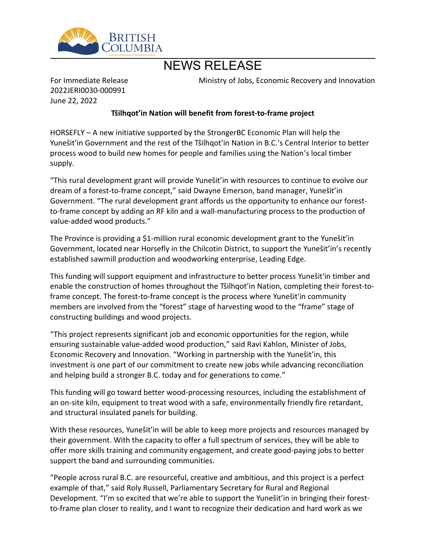

# NEWS RELEASE

For Immediate Release 2022JERI0030-000991 June 22, 2022

Ministry of Jobs, Economic Recovery and Innovation

## **Tŝilhgot'in Nation will benefit from forest-to-frame project**

HORSEFLY – A new initiative supported by the StrongerBC Economic Plan will help the Yune stit'in Government and the rest of the Tsilhqot'in Nation in B.C.'s Central Interior to better process wood to build new homes for people and families using the Nation's local timber supply.

"This rural development grant will provide Yune sti'in with resources to continue to evolve our dream of a forest-to-frame concept," said Dwayne Emerson, band manager, Yunestit'in Government. "The rural development grant affords us the opportunity to enhance our forestto-frame concept by adding an RF kiln and a wall-manufacturing process to the production of value-added wood products."

The Province is providing a \$1-million rural economic development grant to the Yunestit'in Government, located near Horsefly in the Chilcotin District, to support the Yunesti'in's recently established sawmill production and woodworking enterprise, Leading Edge.

This funding will support equipment and infrastructure to better process Yunest lin timber and enable the construction of homes throughout the Tŝilhqot'in Nation, completing their forest-toframe concept. The forest-to-frame concept is the process where Yunest lin community members are involved from the "forest" stage of harvesting wood to the "frame" stage of constructing buildings and wood projects.

͞This project represents significant job and economic opportunities for the region, while ensuring sustainable value-added wood production," said Ravi Kahlon, Minister of Jobs, Economic Recovery and Innovation. "Working in partnership with the Yunestit'in, this investment is one part of our commitment to create new jobs while advancing reconciliation and helping build a stronger B.C. today and for generations to come."

This funding will go toward better wood-processing resources, including the establishment of an on-site kiln, equipment to treat wood with a safe, environmentally friendly fire retardant, and structural insulated panels for building.

With these resources, Yunest i'm will be able to keep more projects and resources managed by their government. With the capacity to offer a full spectrum of services, they will be able to offer more skills training and community engagement, and create good-paying jobs to better support the band and surrounding communities.

͞People across rural B.C. are resourceful, creative and ambitious, and this project is a perfect example of that," said Roly Russell, Parliamentary Secretary for Rural and Regional Development. "I'm so excited that we're able to support the Yunest it'in in bringing their forestto-frame plan closer to reality, and I want to recognize their dedication and hard work as we